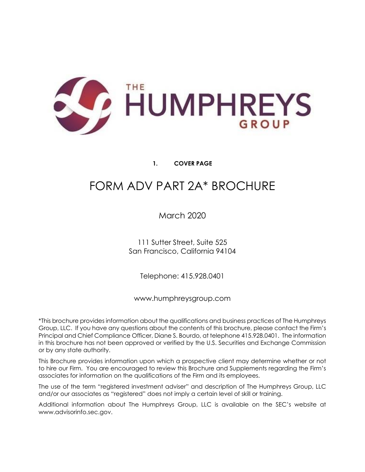

# **1. COVER PAGE**

# <span id="page-0-0"></span>FORM ADV PART 2A\* BROCHURE

March 2020

111 Sutter Street, Suite 525 San Francisco, California 94104

Telephone: 415.928.0401

www.humphreysgroup.com

\*This brochure provides information about the qualifications and business practices of The Humphreys Group, LLC. If you have any questions about the contents of this brochure, please contact the Firm's Principal and Chief Compliance Officer, Diane S. Bourdo, at telephone 415.928.0401. The information in this brochure has not been approved or verified by the U.S. Securities and Exchange Commission or by any state authority.

This Brochure provides information upon which a prospective client may determine whether or not to hire our Firm. You are encouraged to review this Brochure and Supplements regarding the Firm's associates for information on the qualifications of the Firm and its employees.

The use of the term "registered investment adviser" and description of The Humphreys Group, LLC and/or our associates as "registered" does not imply a certain level of skill or training.

Additional information about The Humphreys Group, LLC is available on the SEC's website at www.advisorinfo.sec.gov.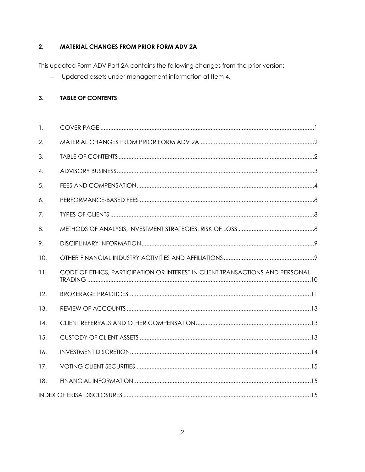#### <span id="page-1-0"></span> $2.$ **MATERIAL CHANGES FROM PRIOR FORM ADV 2A**

This updated Form ADV Part 2A contains the following changes from the prior version:

- Updated assets under management information at Item 4.

#### <span id="page-1-1"></span>**TABLE OF CONTENTS**  $3.$

| $\mathbf{1}$ . |                                                                               |  |
|----------------|-------------------------------------------------------------------------------|--|
| 2.             |                                                                               |  |
| 3.             |                                                                               |  |
| 4.             |                                                                               |  |
| 5.             |                                                                               |  |
| 6.             |                                                                               |  |
| 7.             |                                                                               |  |
| 8.             |                                                                               |  |
| 9.             |                                                                               |  |
| 10.            |                                                                               |  |
| 11.            | CODE OF ETHICS, PARTICIPATION OR INTEREST IN CLIENT TRANSACTIONS AND PERSONAL |  |
| 12.            |                                                                               |  |
| 13.            |                                                                               |  |
| 14.            |                                                                               |  |
| 15.            |                                                                               |  |
| 16.            |                                                                               |  |
| 17.            |                                                                               |  |
| 18.            |                                                                               |  |
|                |                                                                               |  |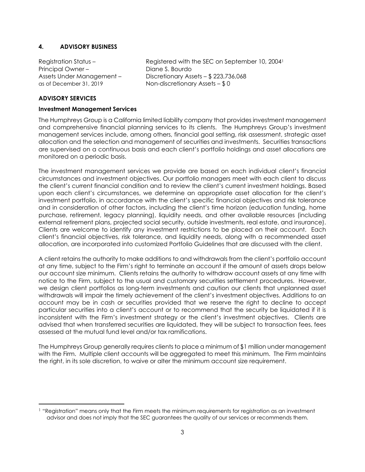# <span id="page-2-0"></span>**4. ADVISORY BUSINESS**

Principal Owner – Diane S. Bourdo as of December 31, 2019 Non-discretionary Assets – \$ 0

Registration Status – Registered with the SEC on September 10, 2004<sup>1</sup> Assets Under Management – Discretionary Assets – \$ 223,736,068

## **ADVISORY SERVICES**

#### **Investment Management Services**

The Humphreys Group is a California limited liability company that provides investment management and comprehensive financial planning services to its clients. The Humphreys Group's investment management services include, among others, financial goal setting, risk assessment, strategic asset allocation and the selection and management of securities and investments. Securities transactions are supervised on a continuous basis and each client's portfolio holdings and asset allocations are monitored on a periodic basis.

The investment management services we provide are based on each individual client's financial circumstances and investment objectives. Our portfolio managers meet with each client to discuss the client's current financial condition and to review the client's current investment holdings. Based upon each client's circumstances, we determine an appropriate asset allocation for the client's investment portfolio, in accordance with the client's specific financial objectives and risk tolerance and in consideration of other factors, including the client's time horizon (education funding, home purchase, retirement, legacy planning), liquidity needs, and other available resources (including external retirement plans, projected social security, outside investments, real estate, and insurance). Clients are welcome to identify any investment restrictions to be placed on their account. Each client's financial objectives, risk tolerance, and liquidity needs, along with a recommended asset allocation, are incorporated into customized Portfolio Guidelines that are discussed with the client.

A client retains the authority to make additions to and withdrawals from the client's portfolio account at any time, subject to the Firm's right to terminate an account if the amount of assets drops below our account size minimum. Clients retains the authority to withdraw account assets at any time with notice to the Firm, subject to the usual and customary securities settlement procedures. However, we design client portfolios as long-term investments and caution our clients that unplanned asset withdrawals will impair the timely achievement of the client's investment objectives. Additions to an account may be in cash or securities provided that we reserve the right to decline to accept particular securities into a client's account or to recommend that the security be liquidated if it is inconsistent with the Firm's investment strategy or the client's investment objectives. Clients are advised that when transferred securities are liquidated, they will be subject to transaction fees, fees assessed at the mutual fund level and/or tax ramifications.

The Humphreys Group generally requires clients to place a minimum of \$1 million under management with the Firm. Multiple client accounts will be aggregated to meet this minimum. The Firm maintains the right, in its sole discretion, to waive or alter the minimum account size requirement.

<sup>1</sup> "Registration" means only that the Firm meets the minimum requirements for registration as an investment advisor and does not imply that the SEC guarantees the quality of our services or recommends them.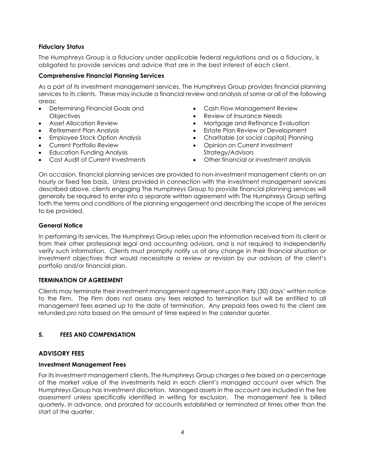# **Fiduciary Status**

The Humphreys Group is a fiduciary under applicable federal regulations and as a fiduciary, is obligated to provide services and advice that are in the best interest of each client.

# **Comprehensive Financial Planning Services**

As a part of its investment management services, The Humphreys Group provides financial planning services to its clients. These may include a financial review and analysis of some or all of the following areas:

- Determining Financial Goals and **Objectives**
- Asset Allocation Review
- Retirement Plan Analysis
- Employee Stock Option Analysis
- Current Portfolio Review
- Education Funding Analysis
- Cost Audit of Current Investments
- Cash Flow Management Review
- Review of Insurance Needs
- Mortgage and Refinance Evaluation
- **Estate Plan Review or Development**
- Charitable (or social capital) Planning
- Opinion on Current Investment Strategy/Advisors
- Other financial or investment analysis

On occasion, financial planning services are provided to non-investment management clients on an hourly or fixed fee basis. Unless provided in connection with the investment management services described above, clients engaging The Humphreys Group to provide financial planning services will generally be required to enter into a separate written agreement with The Humphreys Group setting forth the terms and conditions of the planning engagement and describing the scope of the services to be provided.

# **General Notice**

In performing its services, The Humphreys Group relies upon the information received from its client or from their other professional legal and accounting advisors, and is not required to independently verify such information. Clients must promptly notify us of any change in their financial situation or investment objectives that would necessitate a review or revision by our advisors of the client's portfolio and/or financial plan.

# **TERMINATION OF AGREEMENT**

Clients may terminate their investment management agreement upon thirty (30) days' written notice to the Firm. The Firm does not assess any fees related to termination but will be entitled to all management fees earned up to the date of termination. Any prepaid fees owed to the client are refunded *pro rata* based on the amount of time expired in the calendar quarter.

# <span id="page-3-0"></span>**5. FEES AND COMPENSATION**

# **ADVISORY FEES**

# **Investment Management Fees**

For its investment management clients, The Humphreys Group charges a fee based on a percentage of the market value of the investments held in each client's managed account over which The Humphreys Group has investment discretion. Managed assets in the account are included in the fee assessment unless specifically identified in writing for exclusion. The management fee is billed quarterly, in advance, and prorated for accounts established or terminated at times other than the start of the quarter.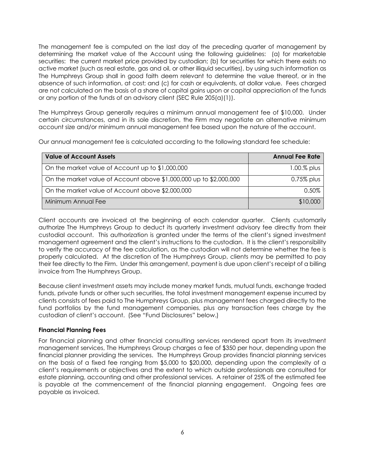The management fee is computed on the last day of the preceding quarter of management by determining the market value of the Account using the following guidelines: (a) for marketable securities: the current market price provided by custodian; (b) for securities for which there exists no active market (such as real estate, gas and oil, or other illiquid securities), by using such information as The Humphreys Group shall in good faith deem relevant to determine the value thereof, or in the absence of such information, at cost; and (c) for cash or equivalents, at dollar value. Fees charged are not calculated on the basis of a share of capital gains upon or capital appreciation of the funds or any portion of the funds of an advisory client (SEC Rule 205(a)(1)).

The Humphreys Group generally requires a minimum annual management fee of \$10,000. Under certain circumstances, and in its sole discretion, the Firm may negotiate an alternative minimum account size and/or minimum annual management fee based upon the nature of the account.

Our annual management fee is calculated according to the following standard fee schedule:

| <b>Value of Account Assets</b>                                     | <b>Annual Fee Rate</b> |
|--------------------------------------------------------------------|------------------------|
| On the market value of Account up to \$1,000,000                   | $1.00\%$ plus          |
| On the market value of Account above \$1,000,000 up to \$2,000,000 | $0.75\%$ plus          |
| On the market value of Account above \$2,000,000                   | $0.50\%$               |
| Minimum Annual Fee                                                 | \$10,000               |

Client accounts are invoiced at the beginning of each calendar quarter. Clients customarily authorize The Humphreys Group to deduct its quarterly investment advisory fee directly from their custodial account. This authorization is granted under the terms of the client's signed investment management agreement and the client's instructions to the custodian. It is the client's responsibility to verify the accuracy of the fee calculation, as the custodian will not determine whether the fee is properly calculated. At the discretion of The Humphreys Group, clients may be permitted to pay their fee directly to the Firm. Under this arrangement, payment is due upon client's receipt of a billing invoice from The Humphreys Group.

Because client investment assets may include money market funds, mutual funds, exchange traded funds, private funds or other such securities, the total investment management expense incurred by clients consists of fees paid to The Humphreys Group, plus management fees charged directly to the fund portfolios by the fund management companies, plus any transaction fees charge by the custodian of client's account. (See "Fund Disclosures" below.)

# **Financial Planning Fees**

For financial planning and other financial consulting services rendered apart from its investment management services, The Humphreys Group charges a fee of \$350 per hour, depending upon the financial planner providing the services. The Humphreys Group provides financial planning services on the basis of a fixed fee ranging from \$5,000 to \$20,000, depending upon the complexity of a client's requirements or objectives and the extent to which outside professionals are consulted for estate planning, accounting and other professional services. A retainer of 25% of the estimated fee is payable at the commencement of the financial planning engagement. Ongoing fees are payable as invoiced.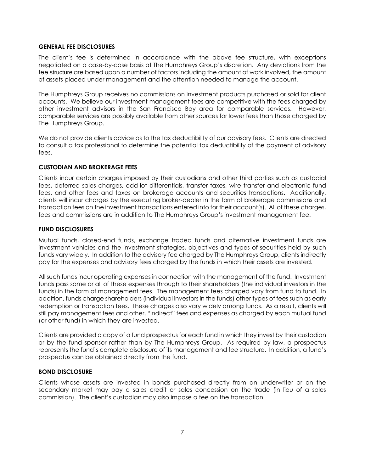#### **GENERAL FEE DISCLOSURES**

The client's fee is determined in accordance with the above fee structure, with exceptions negotiated on a case-by-case basis at The Humphreys Group's discretion. Any deviations from the fee structure are based upon a number of factors including the amount of work involved, the amount of assets placed under management and the attention needed to manage the account.

The Humphreys Group receives no commissions on investment products purchased or sold for client accounts. We believe our investment management fees are competitive with the fees charged by other investment advisors in the San Francisco Bay area for comparable services. However, comparable services are possibly available from other sources for lower fees than those charged by The Humphreys Group.

We do not provide clients advice as to the tax deductibility of our advisory fees. Clients are directed to consult a tax professional to determine the potential tax deductibility of the payment of advisory fees.

# **CUSTODIAN AND BROKERAGE FEES**

Clients incur certain charges imposed by their custodians and other third parties such as custodial fees, deferred sales charges, odd-lot differentials, transfer taxes, wire transfer and electronic fund fees, and other fees and taxes on brokerage accounts and securities transactions. Additionally, clients will incur charges by the executing broker-dealer in the form of brokerage commissions and transaction fees on the investment transactions entered into for their account(s). All of these charges, fees and commissions are in addition to The Humphreys Group's investment management fee.

#### **FUND DISCLOSURES**

Mutual funds, closed-end funds, exchange traded funds and alternative investment funds are investment vehicles and the investment strategies, objectives and types of securities held by such funds vary widely. In addition to the advisory fee charged by The Humphreys Group, clients indirectly pay for the expenses and advisory fees charged by the funds in which their assets are invested.

All such funds incur operating expenses in connection with the management of the fund. Investment funds pass some or all of these expenses through to their shareholders (the individual investors in the funds) in the form of management fees. The management fees charged vary from fund to fund. In addition, funds charge shareholders (individual investors in the funds) other types of fees such as early redemption or transaction fees. These charges also vary widely among funds. As a result, clients will still pay management fees and other, "indirect" fees and expenses as charged by each mutual fund (or other fund) in which they are invested.

Clients are provided a copy of a fund prospectus for each fund in which they invest by their custodian or by the fund sponsor rather than by The Humphreys Group. As required by law, a prospectus represents the fund's complete disclosure of its management and fee structure. In addition, a fund's prospectus can be obtained directly from the fund.

#### **BOND DISCLOSURE**

Clients whose assets are invested in bonds purchased directly from an underwriter or on the secondary market may pay a sales credit or sales concession on the trade (in lieu of a sales commission). The client's custodian may also impose a fee on the transaction.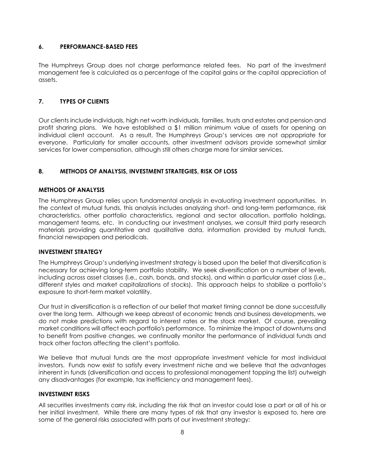# <span id="page-6-0"></span>**6. PERFORMANCE-BASED FEES**

The Humphreys Group does not charge performance related fees. No part of the investment management fee is calculated as a percentage of the capital gains or the capital appreciation of assets.

# <span id="page-6-1"></span>**7. TYPES OF CLIENTS**

Our clients include individuals, high net worth individuals, families, trusts and estates and pension and profit sharing plans. We have established a \$1 million minimum value of assets for opening an individual client account. As a result, The Humphreys Group's services are not appropriate for everyone. Particularly for smaller accounts, other investment advisors provide somewhat similar services for lower compensation, although still others charge more for similar services.

# <span id="page-6-2"></span>**8. METHODS OF ANALYSIS, INVESTMENT STRATEGIES, RISK OF LOSS**

# **METHODS OF ANALYSIS**

The Humphreys Group relies upon fundamental analysis in evaluating investment opportunities. In the context of mutual funds, this analysis includes analyzing short- and long-term performance, risk characteristics, other portfolio characteristics, regional and sector allocation, portfolio holdings, management teams, etc. In conducting our investment analyses, we consult third party research materials providing quantitative and qualitative data, information provided by mutual funds, financial newspapers and periodicals.

#### **INVESTMENT STRATEGY**

The Humphreys Group's underlying investment strategy is based upon the belief that diversification is necessary for achieving long-term portfolio stability. We seek diversification on a number of levels, including across asset classes (i.e., cash, bonds, and stocks), and within a particular asset class (i.e., different styles and market capitalizations of stocks). This approach helps to stabilize a portfolio's exposure to short-term market volatility.

Our trust in diversification is a reflection of our belief that market timing cannot be done successfully over the long term. Although we keep abreast of economic trends and business developments, we do not make predictions with regard to interest rates or the stock market. Of course, prevailing market conditions will affect each portfolio's performance. To minimize the impact of downturns and to benefit from positive changes, we continually monitor the performance of individual funds and track other factors affecting the client's portfolio.

We believe that mutual funds are the most appropriate investment vehicle for most individual investors. Funds now exist to satisfy every investment niche and we believe that the advantages inherent in funds (diversification and access to professional management topping the list) outweigh any disadvantages (for example, tax inefficiency and management fees).

#### **INVESTMENT RISKS**

All securities investments carry risk, including the risk that an investor could lose a part or all of his or her initial investment. While there are many types of risk that any investor is exposed to, here are some of the general risks associated with parts of our investment strategy: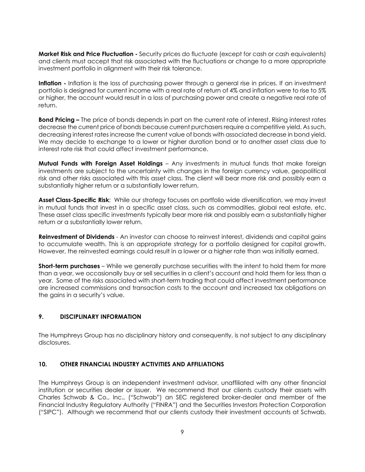**Market Risk and Price Fluctuation -** Security prices do fluctuate (except for cash or cash equivalents) and clients must accept that risk associated with the fluctuations or change to a more appropriate investment portfolio in alignment with their risk tolerance.

**Inflation -** Inflation is the loss of purchasing power through a general rise in prices. If an investment portfolio is designed for current income with a real rate of return of 4% and inflation were to rise to 5% or higher, the account would result in a loss of purchasing power and create a negative real rate of return.

**Bond Pricing –** The price of bonds depends in part on the current rate of interest. Rising interest rates decrease the current price of bonds because current purchasers require a competitive yield. As such, decreasing interest rates increase the current value of bonds with associated decrease in bond yield. We may decide to exchange to a lower or higher duration bond or to another asset class due to interest rate risk that could affect investment performance.

**Mutual Funds with Foreign Asset Holdings** – Any investments in mutual funds that make foreign investments are subject to the uncertainty with changes in the foreign currency value, geopolitical risk and other risks associated with this asset class. The client will bear more risk and possibly earn a substantially higher return or a substantially lower return.

**Asset Class-Specific Risk**: While our strategy focuses on portfolio wide diversification, we may invest in mutual funds that invest in a specific asset class, such as commodities, global real estate, etc. These asset class specific investments typically bear more risk and possibly earn a substantially higher return or a substantially lower return.

**Reinvestment of Dividends** - An investor can choose to reinvest interest, dividends and capital gains to accumulate wealth. This is an appropriate strategy for a portfolio designed for capital growth. However, the reinvested earnings could result in a lower or a higher rate than was initially earned.

**Short-term purchases** – While we generally purchase securities with the intent to hold them for more than a year, we occasionally buy or sell securities in a client's account and hold them for less than a year. Some of the risks associated with short-term trading that could affect investment performance are increased commissions and transaction costs to the account and increased tax obligations on the gains in a security's value.

# <span id="page-7-0"></span>**9. DISCIPLINARY INFORMATION**

The Humphreys Group has no disciplinary history and consequently, is not subject to any disciplinary disclosures.

# <span id="page-7-1"></span>**10. OTHER FINANCIAL INDUSTRY ACTIVITIES AND AFFILIATIONS**

The Humphreys Group is an independent investment advisor, unaffiliated with any other financial institution or securities dealer or issuer. We recommend that our clients custody their assets with Charles Schwab & Co., Inc., ("Schwab") an SEC registered broker-dealer and member of the Financial Industry Regulatory Authority ("FINRA") and the Securities Investors Protection Corporation ("SIPC"). Although we recommend that our clients custody their investment accounts at Schwab,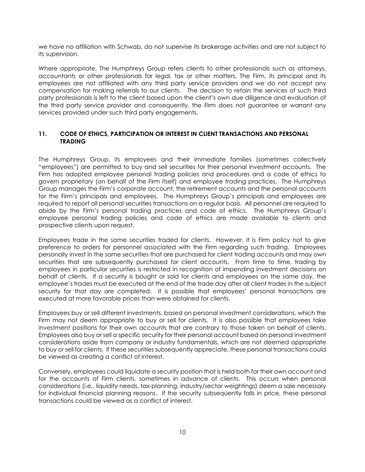we have no affiliation with Schwab, do not supervise its brokerage activities and are not subject to its supervision.

Where appropriate, The Humphreys Group refers clients to other professionals such as attorneys, accountants or other professionals for legal, tax or other matters. The Firm, its principal and its employees are not affiliated with any third party service providers and we do not accept any compensation for making referrals to our clients. The decision to retain the services of such third party professionals is left to the client based upon the client's own due diligence and evaluation of the third party service provider and consequently, the Firm does not guarantee or warrant any services provided under such third party engagements.

# <span id="page-8-0"></span>**11. CODE OF ETHICS, PARTICIPATION OR INTEREST IN CLIENT TRANSACTIONS AND PERSONAL TRADING**

The Humphreys Group, its employees and their immediate families (sometimes collectively "employees") are permitted to buy and sell securities for their personal investment accounts. The Firm has adopted employee personal trading policies and procedures and a code of ethics to govern proprietary (on behalf of the Firm itself) and employee trading practices. The Humphreys Group manages the Firm's corporate account, the retirement accounts and the personal accounts for the Firm's principals and employees. The Humphreys Group's principals and employees are required to report all personal securities transactions on a regular basis. All personnel are required to abide by the Firm's personal trading practices and code of ethics. The Humphreys Group's employee personal trading policies and code of ethics are made available to clients and prospective clients upon request.

Employees trade in the same securities traded for clients. However, it is Firm policy not to give preference to orders for personnel associated with the Firm regarding such trading. Employees personally invest in the same securities that are purchased for client trading accounts and may own securities that are subsequently purchased for client accounts. From time to time, trading by employees in particular securities is restricted in recognition of impending investment decisions on behalf of clients. If a security is bought or sold for clients and employees on the same day, the employee's trades must be executed at the end of the trade day after all client trades in the subject security for that day are completed. It is possible that employees' personal transactions are executed at more favorable prices than were obtained for clients.

Employees buy or sell different investments, based on personal investment considerations, which the Firm may not deem appropriate to buy or sell for clients. It is also possible that employees take investment positions for their own accounts that are contrary to those taken on behalf of clients. Employees also buy or sell a specific security for their personal account based on personal investment considerations aside from company or industry fundamentals, which are not deemed appropriate to buy or sell for clients. If these securities subsequently appreciate, these personal transactions could be viewed as creating a conflict of interest.

Conversely, employees could liquidate a security position that is held both for their own account and for the accounts of Firm clients, sometimes in advance of clients. This occurs when personal considerations (i.e., liquidity needs, tax-planning, industry/sector weightings) deem a sale necessary for individual financial planning reasons. If the security subsequently falls in price, these personal transactions could be viewed as a conflict of interest.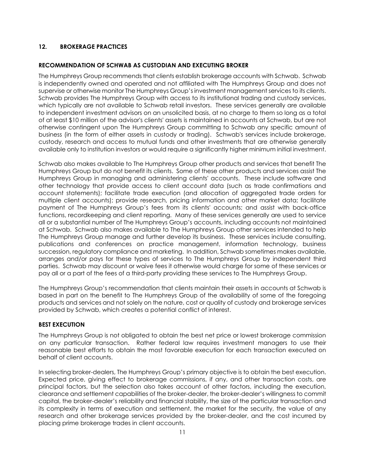# <span id="page-9-0"></span>**12. BROKERAGE PRACTICES**

# **RECOMMENDATION OF SCHWAB AS CUSTODIAN AND EXECUTING BROKER**

The Humphreys Group recommends that clients establish brokerage accounts with Schwab. Schwab is independently owned and operated and not affiliated with The Humphreys Group and does not supervise or otherwise monitor The Humphreys Group's investment management services to its clients. Schwab provides The Humphreys Group with access to its institutional trading and custody services, which typically are not available to Schwab retail investors. These services generally are available to independent investment advisors on an unsolicited basis, at no charge to them so long as a total of at least \$10 million of the advisor's clients' assets is maintained in accounts at Schwab, but are not otherwise contingent upon The Humphreys Group committing to Schwab any specific amount of business (in the form of either assets in custody or trading). Schwab's services include brokerage, custody, research and access to mutual funds and other investments that are otherwise generally available only to institution investors or would require a significantly higher minimum initial investment.

Schwab also makes available to The Humphreys Group other products and services that benefit The Humphreys Group but do not benefit its clients. Some of these other products and services assist The Humphreys Group in managing and administering clients' accounts. These include software and other technology that provide access to client account data (such as trade confirmations and account statements); facilitate trade execution (and allocation of aggregated trade orders for multiple client accounts); provide research, pricing information and other market data; facilitate payment of The Humphreys Group's fees from its clients' accounts; and assist with back-office functions, recordkeeping and client reporting. Many of these services generally are used to service all or a substantial number of The Humphreys Group's accounts, including accounts not maintained at Schwab. Schwab also makes available to The Humphreys Group other services intended to help The Humphreys Group manage and further develop its business. These services include consulting, publications and conferences on practice management, information technology, business succession, regulatory compliance and marketing. In addition, Schwab sometimes makes available, arranges and/or pays for these types of services to The Humphreys Group by independent third parties. Schwab may discount or waive fees it otherwise would charge for some of these services or pay all or a part of the fees of a third-party providing these services to The Humphreys Group.

The Humphreys Group's recommendation that clients maintain their assets in accounts at Schwab is based in part on the benefit to The Humphreys Group of the availability of some of the foregoing products and services and not solely on the nature, cost or quality of custody and brokerage services provided by Schwab, which creates a potential conflict of interest.

# **BEST EXECUTION**

The Humphreys Group is not obligated to obtain the best net price or lowest brokerage commission on any particular transaction. Rather federal law requires investment managers to use their reasonable best efforts to obtain the most favorable execution for each transaction executed on behalf of client accounts.

In selecting broker-dealers, The Humphreys Group's primary objective is to obtain the best execution. Expected price, giving effect to brokerage commissions, if any, and other transaction costs, are principal factors, but the selection also takes account of other factors, including the execution, clearance and settlement capabilities of the broker-dealer, the broker-dealer's willingness to commit capital, the broker-dealer's reliability and financial stability, the size of the particular transaction and its complexity in terms of execution and settlement, the market for the security, the value of any research and other brokerage services provided by the broker-dealer, and the cost incurred by placing prime brokerage trades in client accounts.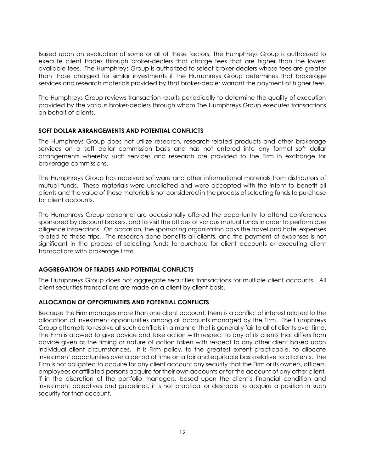Based upon an evaluation of some or all of these factors, The Humphreys Group is authorized to execute client trades through broker-dealers that charge fees that are higher than the lowest available fees. The Humphreys Group is authorized to select broker-dealers whose fees are greater than those charged for similar investments if The Humphreys Group determines that brokerage services and research materials provided by that broker-dealer warrant the payment of higher fees.

The Humphreys Group reviews transaction results periodically to determine the quality of execution provided by the various broker-dealers through whom The Humphreys Group executes transactions on behalf of clients.

#### **SOFT DOLLAR ARRANGEMENTS AND POTENTIAL CONFLICTS**

The Humphreys Group does not utilize research, research-related products and other brokerage services on a soft dollar commission basis and has not entered into any formal soft dollar arrangements whereby such services and research are provided to the Firm in exchange for brokerage commissions.

The Humphreys Group has received software and other informational materials from distributors of mutual funds. These materials were unsolicited and were accepted with the intent to benefit all clients and the value of these materials is not considered in the process of selecting funds to purchase for client accounts.

The Humphreys Group personnel are occasionally offered the opportunity to attend conferences sponsored by discount brokers, and to visit the offices of various mutual funds in order to perform due diligence inspections. On occasion, the sponsoring organization pays the travel and hotel expenses related to these trips. The research done benefits all clients, and the payment of expenses is not significant in the process of selecting funds to purchase for client accounts or executing client transactions with brokerage firms.

# **AGGREGATION OF TRADES AND POTENTIAL CONFLICTS**

The Humphreys Group does not aggregate securities transactions for multiple client accounts. All client securities transactions are made on a client by client basis.

# **ALLOCATION OF OPPORTUNITIES AND POTENTIAL CONFLICTS**

Because the Firm manages more than one client account, there is a conflict of interest related to the allocation of investment opportunities among all accounts managed by the Firm. The Humphreys Group attempts to resolve all such conflicts in a manner that is generally fair to all of clients over time. The Firm is allowed to give advice and take action with respect to any of its clients that differs from advice given or the timing or nature of action taken with respect to any other client based upon individual client circumstances. It is Firm policy, to the greatest extent practicable, to allocate investment opportunities over a period of time on a fair and equitable basis relative to all clients. The Firm is not obligated to acquire for any client account any security that the Firm or its owners, officers, employees or affiliated persons acquire for their own accounts or for the account of any other client, if in the discretion of the portfolio managers, based upon the client's financial condition and investment objectives and guidelines, it is not practical or desirable to acquire a position in such security for that account.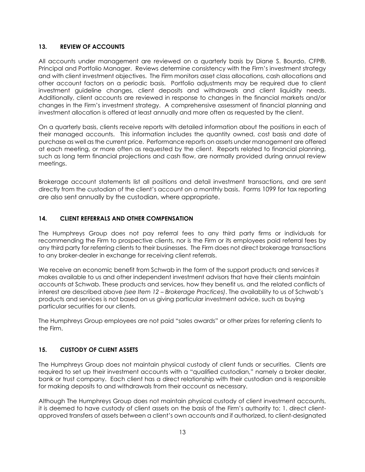## <span id="page-11-0"></span>**13. REVIEW OF ACCOUNTS**

All accounts under management are reviewed on a quarterly basis by Diane S. Bourdo, CFP®, Principal and Portfolio Manager. Reviews determine consistency with the Firm's investment strategy and with client investment objectives. The Firm monitors asset class allocations, cash allocations and other account factors on a periodic basis. Portfolio adjustments may be required due to client investment guideline changes, client deposits and withdrawals and client liquidity needs. Additionally, client accounts are reviewed in response to changes in the financial markets and/or changes in the Firm's investment strategy. A comprehensive assessment of financial planning and investment allocation is offered at least annually and more often as requested by the client.

On a quarterly basis, clients receive reports with detailed information about the positions in each of their managed accounts. This information includes the quantity owned, cost basis and date of purchase as well as the current price. Performance reports on assets under management are offered at each meeting, or more often as requested by the client. Reports related to financial planning, such as long term financial projections and cash flow, are normally provided during annual review meetings.

Brokerage account statements list all positions and detail investment transactions, and are sent directly from the custodian of the client's account on a monthly basis. Forms 1099 for tax reporting are also sent annually by the custodian, where appropriate.

# <span id="page-11-1"></span>**14. CLIENT REFERRALS AND OTHER COMPENSATION**

The Humphreys Group does not pay referral fees to any third party firms or individuals for recommending the Firm to prospective clients, nor is the Firm or its employees paid referral fees by any third party for referring clients to their businesses. The Firm does not direct brokerage transactions to any broker-dealer in exchange for receiving client referrals.

We receive an economic benefit from Schwab in the form of the support products and services it makes available to us and other independent investment advisors that have their clients maintain accounts at Schwab. These products and services, how they benefit us, and the related conflicts of interest are described above *(see Item 12 – Brokerage Practices)*. The availability to us of Schwab's products and services is not based on us giving particular investment advice, such as buying particular securities for our clients.

<span id="page-11-2"></span>The Humphreys Group employees are not paid "sales awards" or other prizes for referring clients to the Firm.

# **15. CUSTODY OF CLIENT ASSETS**

The Humphreys Group does not maintain physical custody of client funds or securities. Clients are required to set up their investment accounts with a "qualified custodian," namely a broker dealer, bank or trust company. Each client has a direct relationship with their custodian and is responsible for making deposits to and withdrawals from their account as necessary.

Although The Humphreys Group does not maintain physical custody of client investment accounts, it is deemed to have custody of client assets on the basis of the Firm's authority to: 1. direct clientapproved transfers of assets between a client's own accounts and if authorized, to client-designated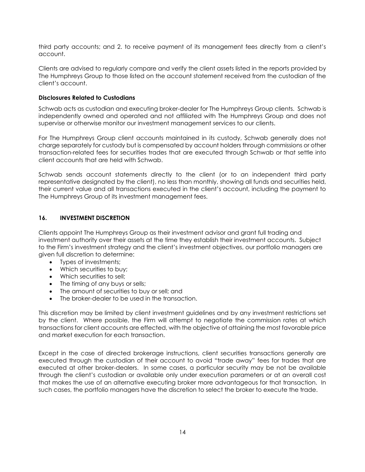third party accounts; and 2. to receive payment of its management fees directly from a client's account.

Clients are advised to regularly compare and verify the client assets listed in the reports provided by The Humphreys Group to those listed on the account statement received from the custodian of the client's account.

# **Disclosures Related to Custodians**

Schwab acts as custodian and executing broker-dealer for The Humphreys Group clients. Schwab is independently owned and operated and not affiliated with The Humphreys Group and does not supervise or otherwise monitor our investment management services to our clients.

For The Humphreys Group client accounts maintained in its custody, Schwab generally does not charge separately for custody but is compensated by account holders through commissions or other transaction-related fees for securities trades that are executed through Schwab or that settle into client accounts that are held with Schwab.

Schwab sends account statements directly to the client (or to an independent third party representative designated by the client), no less than monthly, showing all funds and securities held, their current value and all transactions executed in the client's account, including the payment to The Humphreys Group of its investment management fees.

# <span id="page-12-0"></span>**16. INVESTMENT DISCRETION**

Clients appoint The Humphreys Group as their investment advisor and grant full trading and investment authority over their assets at the time they establish their investment accounts. Subject to the Firm's investment strategy and the client's investment objectives, our portfolio managers are given full discretion to determine:

- Types of investments;
- Which securities to buy:
- Which securities to sell:
- The timing of any buys or sells;
- The amount of securities to buy or sell; and
- The broker-dealer to be used in the transaction.

This discretion may be limited by client investment guidelines and by any investment restrictions set by the client. Where possible, the Firm will attempt to negotiate the commission rates at which transactions for client accounts are effected, with the objective of attaining the most favorable price and market execution for each transaction.

Except in the case of directed brokerage instructions, client securities transactions generally are executed through the custodian of their account to avoid "trade away" fees for trades that are executed at other broker-dealers. In some cases, a particular security may be not be available through the client's custodian or available only under execution parameters or at an overall cost that makes the use of an alternative executing broker more advantageous for that transaction. In such cases, the portfolio managers have the discretion to select the broker to execute the trade.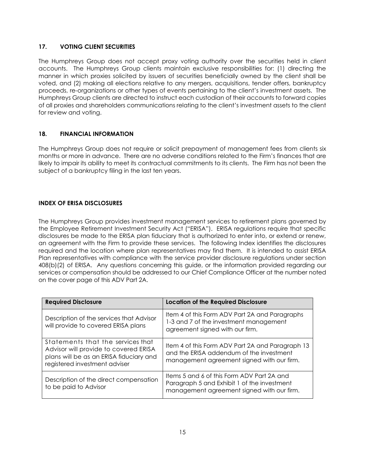# <span id="page-13-0"></span>**17. VOTING CLIENT SECURITIES**

The Humphreys Group does not accept proxy voting authority over the securities held in client accounts. The Humphreys Group clients maintain exclusive responsibilities for: (1) directing the manner in which proxies solicited by issuers of securities beneficially owned by the client shall be voted, and (2) making all elections relative to any mergers, acquisitions, tender offers, bankruptcy proceeds, re-organizations or other types of events pertaining to the client's investment assets. The Humphreys Group clients are directed to instruct each custodian of their accounts to forward copies of all proxies and shareholders communications relating to the client's investment assets to the client for review and voting.

# <span id="page-13-1"></span>**18. FINANCIAL INFORMATION**

The Humphreys Group does not require or solicit prepayment of management fees from clients six months or more in advance. There are no adverse conditions related to the Firm's finances that are likely to impair its ability to meet its contractual commitments to its clients. The Firm has not been the subject of a bankruptcy filing in the last ten years.

# <span id="page-13-2"></span>**INDEX OF ERISA DISCLOSURES**

The Humphreys Group provides investment management services to retirement plans governed by the Employee Retirement Investment Security Act ("ERISA"). ERISA regulations require that specific disclosures be made to the ERISA plan fiduciary that is authorized to enter into, or extend or renew, an agreement with the Firm to provide these services. The following Index identifies the disclosures required and the location where plan representatives may find them. It is intended to assist ERISA Plan representatives with compliance with the service provider disclosure regulations under section 408(b)(2) of ERISA. Any questions concerning this guide, or the information provided regarding our services or compensation should be addressed to our Chief Compliance Officer at the number noted on the cover page of this ADV Part 2A.

| <b>Required Disclosure</b>                                                                                                                             | <b>Location of the Required Disclosure</b>                                                                                                 |
|--------------------------------------------------------------------------------------------------------------------------------------------------------|--------------------------------------------------------------------------------------------------------------------------------------------|
| Description of the services that Advisor<br>will provide to covered ERISA plans                                                                        | Item 4 of this Form ADV Part 2A and Paragraphs<br>1-3 and 7 of the investment management<br>agreement signed with our firm.                |
| Statements that the services that<br>Advisor will provide to covered ERISA<br>plans will be as an ERISA fiduciary and<br>registered investment adviser | Item 4 of this Form ADV Part 2A and Paragraph 13<br>and the ERISA addendum of the investment<br>management agreement signed with our firm. |
| Description of the direct compensation<br>to be paid to Advisor                                                                                        | Items 5 and 6 of this Form ADV Part 2A and<br>Paragraph 5 and Exhibit 1 of the investment<br>management agreement signed with our firm.    |